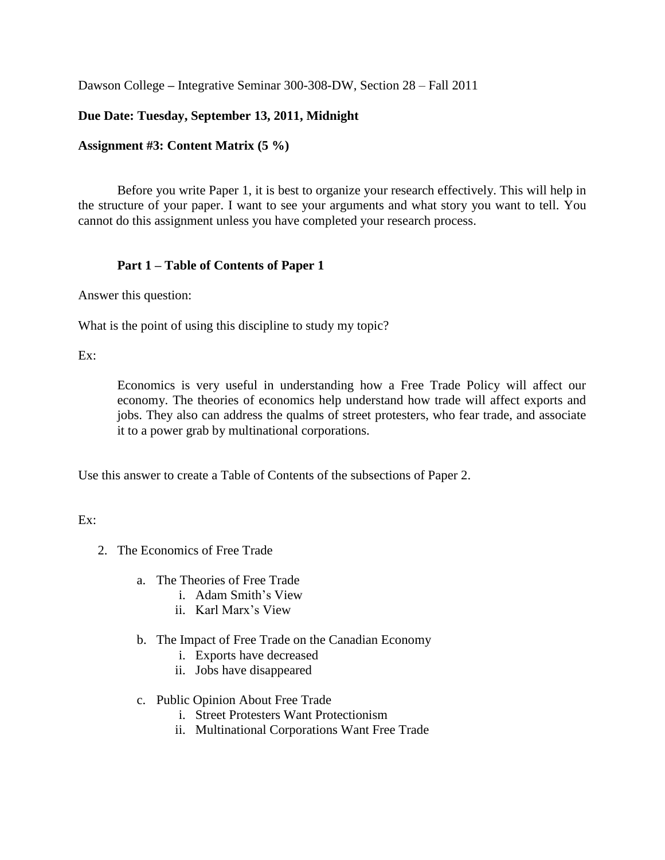Dawson College **–** Integrative Seminar 300-308-DW, Section 28 – Fall 2011

## **Due Date: Tuesday, September 13, 2011, Midnight**

## **Assignment #3: Content Matrix (5 %)**

Before you write Paper 1, it is best to organize your research effectively. This will help in the structure of your paper. I want to see your arguments and what story you want to tell. You cannot do this assignment unless you have completed your research process.

## **Part 1 – Table of Contents of Paper 1**

Answer this question:

What is the point of using this discipline to study my topic?

Ex:

Economics is very useful in understanding how a Free Trade Policy will affect our economy. The theories of economics help understand how trade will affect exports and jobs. They also can address the qualms of street protesters, who fear trade, and associate it to a power grab by multinational corporations.

Use this answer to create a Table of Contents of the subsections of Paper 2.

Ex:

- 2. The Economics of Free Trade
	- a. The Theories of Free Trade
		- i. Adam Smith's View
		- ii. Karl Marx's View
	- b. The Impact of Free Trade on the Canadian Economy
		- i. Exports have decreased
		- ii. Jobs have disappeared
	- c. Public Opinion About Free Trade
		- i. Street Protesters Want Protectionism
		- ii. Multinational Corporations Want Free Trade